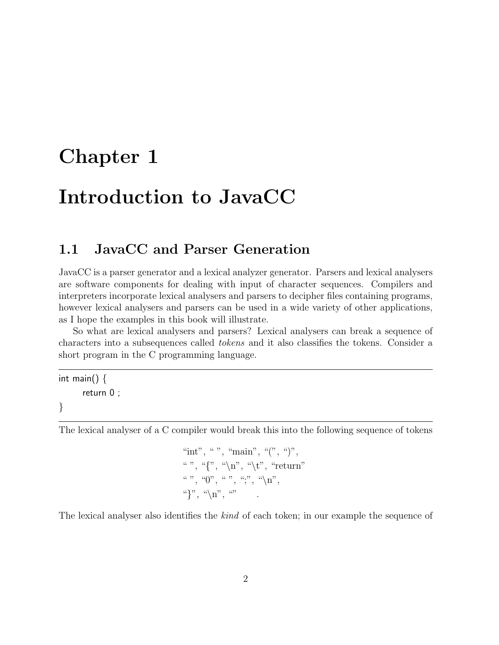# **Chapter 1**

# **Introduction to JavaCC**

# **1.1 JavaCC and Parser Generation**

JavaCC is a parser generator and a lexical analyzer generator. Parsers and lexical analysers are software components for dealing with input of character sequences. Compilers and interpreters incorporate lexical analysers and parsers to decipher files containing programs, however lexical analysers and parsers can be used in a wide variety of other applications, as I hope the examples in this bookwill illustrate.

So what are lexical analysers and parsers? Lexical analysers can break a sequence of characters into a subsequences called *tokens* and it also classifies the tokens. Consider a short program in the C programming language.

int main()  $\{$ return 0 ; }

The lexical analyser of a C compiler would break this into the following sequence of tokens

$$
\begin{array}{l} \text{``int''}, \text{``''}, \text{``main''}, \text{``(''}, \text{``)''},\\ \text{``''}, \text{``{''}, \text{``}\text{'n''}, \text{``}\text{'t''}, \text{``return''}}\\ \text{``''}, \text{``0''}, \text{``''}, \text{``}, \text{``}, \text{``}\text{'n''},\\ \text{``} \text{''}, \text{``}\text{'n''}, \text{``''} \end{array}
$$

The lexical analyser also identifies the *kind* of each token; in our example the sequence of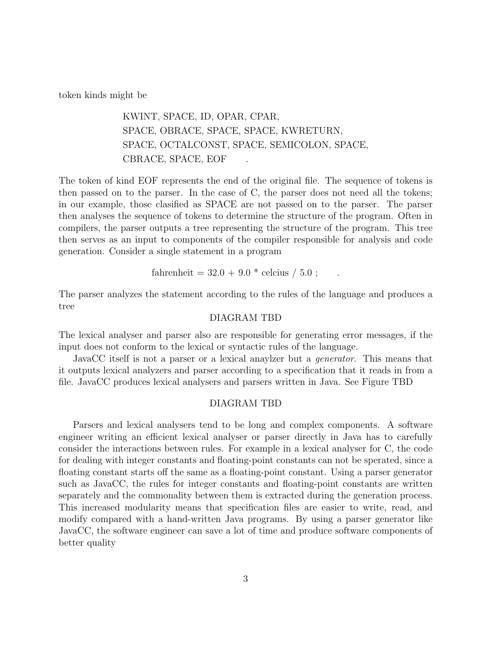token kinds might be

# KWINT, SPACE, ID, OPAR, CPAR, SPACE, OBRACE, SPACE, SPACE, KWRETURN, SPACE, OCTALCONST, SPACE, SEMICOLON, SPACE, CBRACE, SPACE, EOF

The token of kind EOF represents the end of the original file. The sequence of tokens is then passed on to the parser. In the case of C, the parser does not need all the tokens; in our example, those clasified as SPACE are not passed on to the parser. The parser then analyses the sequence of tokens to determine the structure of the program. Often in compilers, the parser outputs a tree representing the structure of the program. This tree then serves as an input to components of the compiler responsible for analysis and code generation. Consider a single statement in a program

$$
fahrenheit = 32.0 + 9.0 * celcius / 5.0 ;
$$

The parser analyzes the statement according to the rules of the language and produces a tree

#### DIAGRAM TBD

The lexical analyser and parser also are responsible for generating error messages, if the input does not conform to the lexical or syntactic rules of the language.

JavaCC itself is not a parser or a lexical anaylzer but a *generator*. This means that it outputs lexical analyzers and parser according to a specification that it reads in from a file. JavaCC produces lexical analysers and parsers written in Java. See Figure TBD

#### DIAGRAM TBD

Parsers and lexical analysers tend to be long and complex components. A software engineer writing an efficient lexical analyser or parser directly in Java has to carefully consider the interactions between rules. For example in a lexical analyser for C, the code for dealing with integer constants and floating-point constants can not be sperated, since a floating constant starts off the same as a floating-point constant. Using a parser generator such as JavaCC, the rules for integer constants and floating-point constants are written separately and the commonality between them is extracted during the generation process. This increased modularity means that specification files are easier to write, read, and modify compared with a hand-written Java programs. By using a parser generator like JavaCC, the software engineer can save a lot of time and produce software components of better quality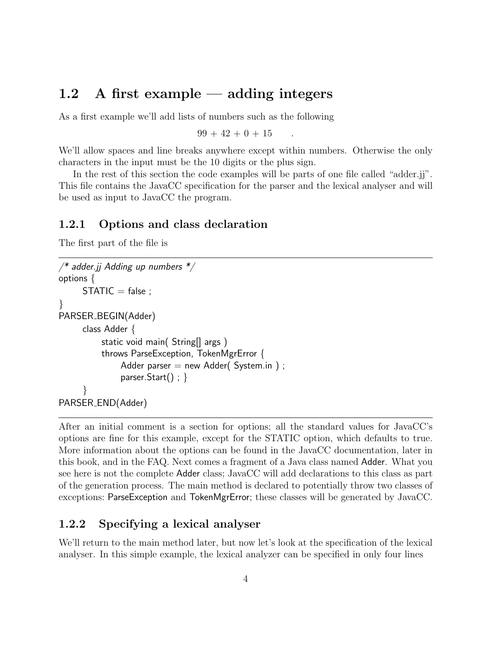# **1.2 A first example — adding integers**

As a first example we'll add lists of numbers such as the following

 $99 + 42 + 0 + 15$ 

We'll allow spaces and line breaks anywhere except within numbers. Otherwise the only characters in the input must be the 10 digits or the plus sign.

In the rest of this section the code examples will be parts of one file called "adder.jj". This file contains the JavaCC specification for the parser and the lexical analyser and will be used as input to JavaCC the program.

### **1.2.1 Options and class declaration**

The first part of the file is

```
/* adder.jj Adding up numbers */
options {
     STATIC = false;}
PARSER_BEGIN(Adder)
     class Adder {
          static void main( String[] args )
          throws ParseException, TokenMgrError {
              Adder parser = new Adder( System.in );
              parser.Start() ; }
      }
PARSER END(Adder)
```
After an initial comment is a section for options; all the standard values for JavaCC's options are fine for this example, except for the STATIC option, which defaults to true. More information about the options can be found in the JavaCC documentation, later in this book, and in the FAQ. Next comes a fragment of a Java class named Adder. What you see here is not the complete Adder class; JavaCC will add declarations to this class as part of the generation process. The main method is declared to potentially throw two classes of exceptions: ParseException and TokenMgrError; these classes will be generated by JavaCC.

## **1.2.2 Specifying a lexical analyser**

We'll return to the main method later, but now let's look at the specification of the lexical analyser. In this simple example, the lexical analyzer can be specified in only four lines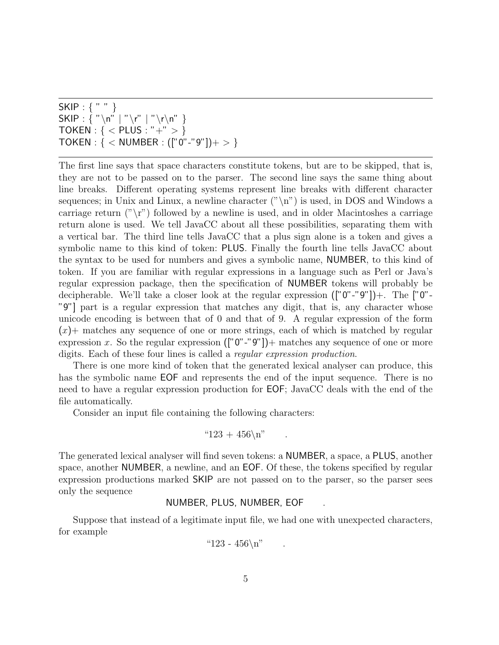SKIP : { " " }  $SKIP : \{ " \n\rangle n" | " \n\rangle r" | " \n\rangle r \rangle n" }$ TOKEN : { *<* PLUS : "+" *>* } TOKEN : { *<* NUMBER : (["0"-"9"])+ *>* }

The first line says that space characters constitute tokens, but are to be skipped, that is, they are not to be passed on to the parser. The second line says the same thing about line breaks. Different operating systems represent line breaks with different character sequences; in Unix and Linux, a newline character  $("\n'\n')$  is used, in DOS and Windows a carriage return  $(\gamma \rightharpoonup \rightharpoonup \rightharpoonup \rightharpoonup$  followed by a newline is used, and in older Macintoshes a carriage return alone is used. We tell JavaCC about all these possibilities, separating them with a vertical bar. The third line tells JavaCC that a plus sign alone is a token and gives a symbolic name to this kind of token: PLUS. Finally the fourth line tells JavaCC about the syntax to be used for numbers and gives a symbolic name, **NUMBER**, to this kind of token. If you are familiar with regular expressions in a language such as Perl or Java's regular expression package, then the specification of NUMBER tokens will probably be decipherable. We'll take a closer look at the regular expression (["0"-"9"])+. The ["0"- "9"] part is a regular expression that matches any digit, that is, any character whose unicode encoding is between that of 0 and that of 9. A regular expression of the form  $(x)$  matches any sequence of one or more strings, each of which is matched by regular expression *x*. So the regular expression ([" $0"$ -" $9"$ ]) + matches any sequence of one or more digits. Each of these four lines is called a *regular expression production*.

There is one more kind of token that the generated lexical analyser can produce, this has the symbolic name EOF and represents the end of the input sequence. There is no need to have a regular expression production for EOF; JavaCC deals with the end of the file automatically.

Consider an input file containing the following characters:

$$
"123 + 456\backslash n" \qquad .
$$

The generated lexical analyser will find seven tokens: a NUMBER, a space, a PLUS, another space, another NUMBER, a newline, and an EOF. Of these, the tokens specified by regular expression productions marked SKIP are not passed on to the parser, so the parser sees only the sequence

#### NUMBER, PLUS, NUMBER, EOF .

Suppose that instead of a legitimate input file, we had one with unexpected characters, for example

"123 - 
$$
456\pi
$$
"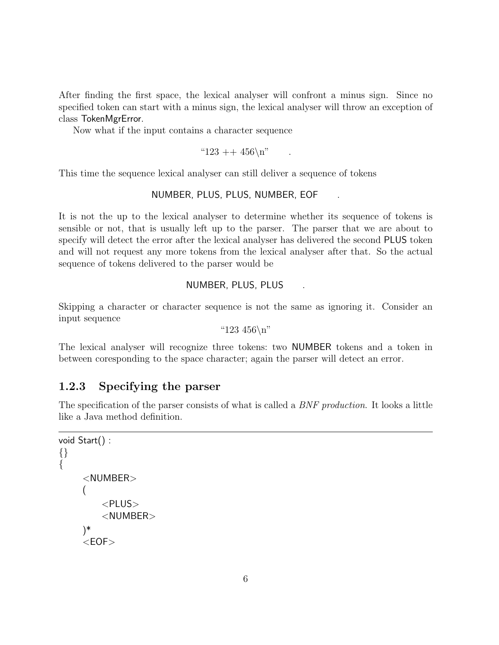After finding the first space, the lexical analyser will confront a minus sign. Since no specified token can start with a minus sign, the lexical analyser will throw an exception of class TokenMgrError.

Now what if the input contains a character sequence

" $123 + 456\$ n"

This time the sequence lexical analyser can still deliver a sequence of tokens

### NUMBER, PLUS, PLUS, NUMBER, EOF .

It is not the up to the lexical analyser to determine whether its sequence of tokens is sensible or not, that is usually left up to the parser. The parser that we are about to specify will detect the error after the lexical analyser has delivered the second PLUS token and will not request any more tokens from the lexical analyser after that. So the actual sequence of tokens delivered to the parser would be

#### NUMBER, PLUS, PLUS .

Skipping a character or character sequence is not the same as ignoring it. Consider an input sequence

"123 456\n"

The lexical analyser will recognize three tokens: two NUMBER tokens and a token in between coresponding to the space character; again the parser will detect an error.

# **1.2.3 Specifying the parser**

The specification of the parser consists of what is called a *BNF production*. It looks a little like a Java method definition.

```
void Start() :
{}
\{<NUMBER>
    (
         <PLUS>
         <NUMBER>
    )*
     <EOF>
```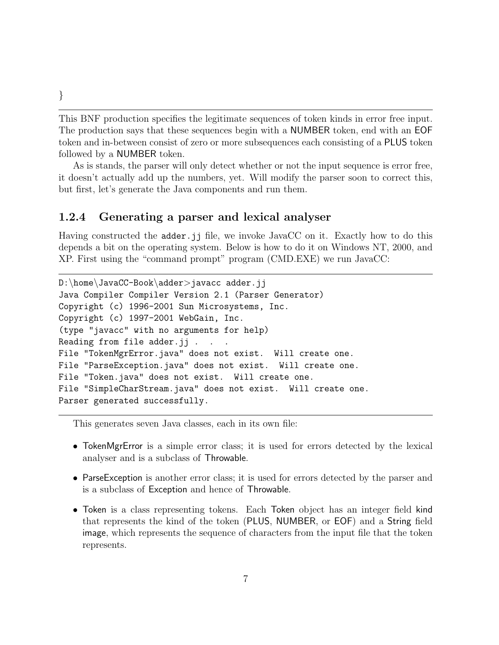This BNF production specifies the legitimate sequences of token kinds in error free input. The production says that these sequences begin with a NUMBER token, end with an EOF token and in-between consist of zero or more subsequences each consisting of a PLUS token followed by a NUMBER token.

As is stands, the parser will only detect whether or not the input sequence is error free, it doesn't actually add up the numbers, yet. Will modify the parser soon to correct this, but first, let's generate the Java components and run them.

### **1.2.4 Generating a parser and lexical analyser**

Having constructed the adder.jj file, we invoke JavaCC on it. Exactly how to do this depends a bit on the operating system. Below is how to do it on Windows NT, 2000, and XP. First using the "command prompt" program (CMD.EXE) we run JavaCC:

```
D:\home\JavaCC-Book\adder>javacc adder.jj
Java Compiler Compiler Version 2.1 (Parser Generator)
Copyright (c) 1996-2001 Sun Microsystems, Inc.
Copyright (c) 1997-2001 WebGain, Inc.
(type "javacc" with no arguments for help)
Reading from file adder.jj . . .
File "TokenMgrError.java" does not exist. Will create one.
File "ParseException.java" does not exist. Will create one.
File "Token.java" does not exist. Will create one.
File "SimpleCharStream.java" does not exist. Will create one.
Parser generated successfully.
```
This generates seven Java classes, each in its own file:

- TokenMgrError is a simple error class; it is used for errors detected by the lexical analyser and is a subclass of Throwable.
- ParseException is another error class; it is used for errors detected by the parser and is a subclass of Exception and hence of Throwable.
- Token is a class representing tokens. Each Token object has an integer field kind that represents the kind of the token (PLUS, NUMBER, or EOF) and a String field image, which represents the sequence of characters from the input file that the token represents.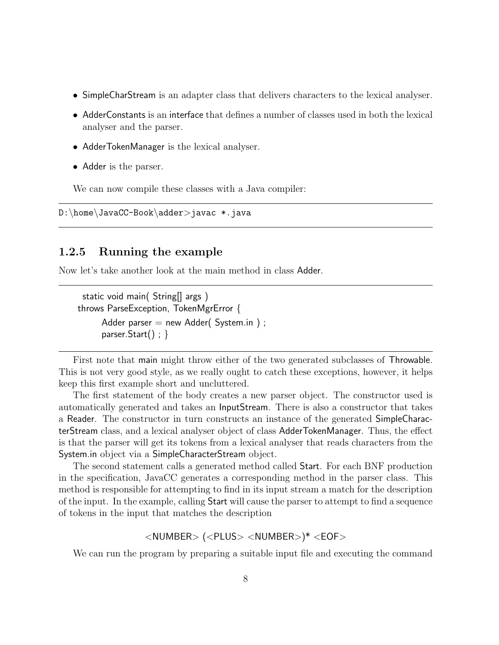- SimpleCharStream is an adapter class that delivers characters to the lexical analyser.
- AdderConstants is an interface that defines a number of classes used in both the lexical analyser and the parser.
- AdderTokenManager is the lexical analyser.
- Adder is the parser.

We can now compile these classes with a Java compiler:

D:\home\JavaCC-Book\adder*>*javac \*.java

### **1.2.5 Running the example**

Now let's take another look at the main method in class Adder.

```
static void main( String[] args)
throws ParseException, TokenMgrError {
      Adder parser = new Adder( System.in );
      parser.Start() ; }
```
First note that main might throw either of the two generated subclasses of Throwable. This is not very good style, as we really ought to catch these exceptions, however, it helps keep this first example short and uncluttered.

The first statement of the body creates a new parser object. The constructor used is automatically generated and takes an InputStream. There is also a constructor that takes a Reader. The constructor in turn constructs an instance of the generated SimpleCharacterStream class, and a lexical analyser object of class AdderTokenManager. Thus, the effect is that the parser will get its tokens from a lexical analyser that reads characters from the System.in object via a SimpleCharacterStream object.

The second statement calls a generated method called Start. For each BNF production in the specification, JavaCC generates a corresponding method in the parser class. This method is responsible for attempting to find in its input stream a match for the description of the input. In the example, calling Start will cause the parser to attempt to find a sequence of tokens in the input that matches the description

### *<*NUMBER*>* (*<*PLUS*> <*NUMBER*>*)\* *<*EOF*>*

We can run the program by preparing a suitable input file and executing the command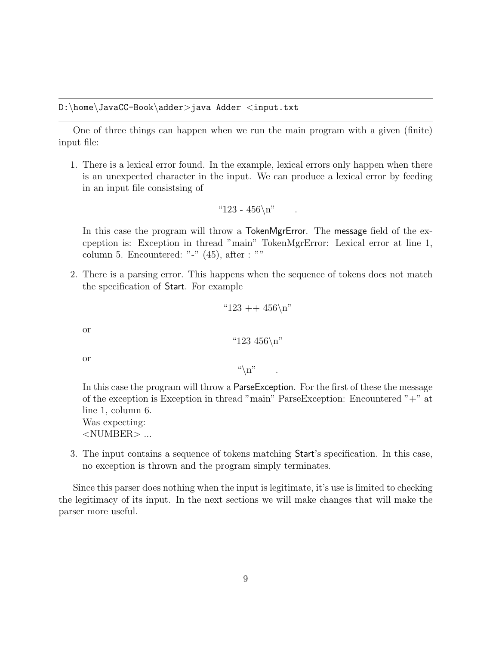One of three things can happen when we run the main program with a given (finite) input file:

1. There is a lexical error found. In the example, lexical errors only happen when there is an unexpected character in the input. We can produce a lexical error by feeding in an input file consistsing of

$$
"123 - 456\,\n\big\}
$$

In this case the program will throw a TokenMgrError. The message field of the excpeption is: Exception in thread "main" TokenMgrError: Lexical error at line 1, column 5. Encountered: "-" (45), after : ""

2. There is a parsing error. This happens when the sequence of tokens does not match the specification of Start. For example

"123 ++ 456
$$
\n \times
$$

or

"123 456\n
$$
\n
$$
"

or

 $\mathfrak{a}\backslash n$ "

In this case the program will throw a ParseException. For the first of these the message of the exception is Exception in thread "main" ParseException: Encountered "+" at line 1, column 6.

Was expecting: *<*NUMBER*>* ...

3. The input contains a sequence of tokens matching Start's specification. In this case, no exception is thrown and the program simply terminates.

Since this parser does nothing when the input is legitimate, it's use is limited to checking the legitimacy of its input. In the next sections we will make changes that will make the parser more useful.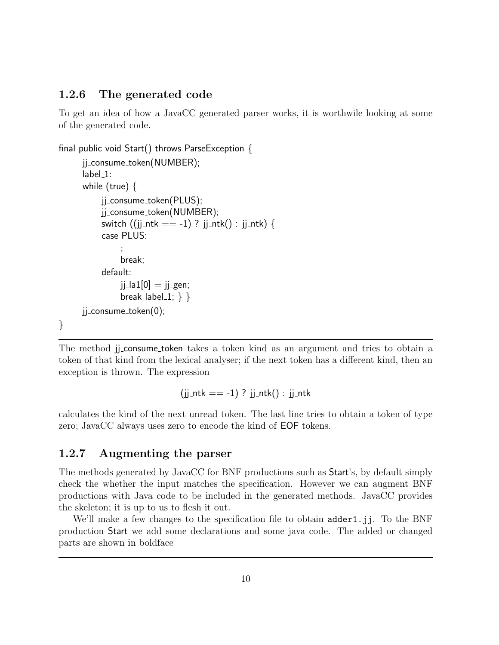### **1.2.6 The generated code**

To get an idea of how a JavaCC generated parser works, it is worthwile looking at some of the generated code.

```
final public void Start() throws ParseException {
     jj_consume_token(NUMBER);
     label_1:
      while (true) {
          jj consume token(PLUS);
          jj consume token(NUMBER);
          switch ((jj_ntk == -1) ? jj_ntk() : jj_ntk) {
          case PLUS:
               ;
               break;
          default:
               jj la1[0] = jj gen;
               break label_1; \} }
     ji consume token(0);
}
```
The method jj\_consume\_token takes a token kind as an argument and tries to obtain a token of that kind from the lexical analyser; if the next token has a different kind, then an exception is thrown. The expression

 $(ij_{-}ntk == -1)$  ?  $ji_{-}ntk()$  :  $ji_{-}ntk$ 

calculates the kind of the next unread token. The last line tries to obtain a token of type zero; JavaCC always uses zero to encode the kind of EOF tokens.

# **1.2.7 Augmenting the parser**

The methods generated by JavaCC for BNF productions such as Start's, by default simply check the whether the input matches the specification. However we can augment BNF productions with Java code to be included in the generated methods. JavaCC provides the skeleton; it is up to us to flesh it out.

We'll make a few changes to the specification file to obtain adder1.jj. To the BNF production Start we add some declarations and some java code. The added or changed parts are shown in boldface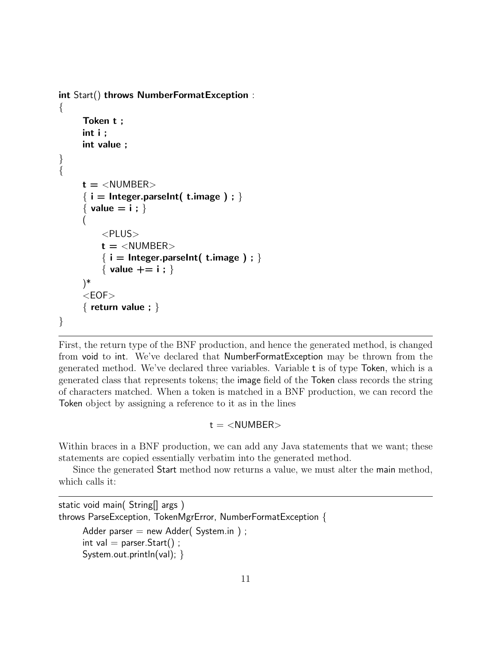```
int Start() throws NumberFormatException :
{
     Token t ;
     int i ;
     int value ;
}
{
     t = <NUMBER>
     { i = Integer.parseInt( t.image ) ; }
     { value = i ; }
     (
         <PLUS>
         t = <NUMBER>
         { i = Integer.parseInt( t.image ) ; }
         { value += i ; }
     )*
     <EOF>
     { return value ; }
}
```
First, the return type of the BNF production, and hence the generated method, is changed from void to int. We've declared that NumberFormatException may be thrown from the generated method. We've declared three variables. Variable t is of type Token, which is a generated class that represents tokens; the image field of the Token class records the string of characters matched. When a token is matched in a BNF production, we can record the Token object by assigning a reference to it as in the lines

### t = *<*NUMBER*>*

Within braces in a BNF production, we can add any Java statements that we want; these statements are copied essentially verbatim into the generated method.

Since the generated Start method now returns a value, we must alter the main method, which calls it:

```
static void main( String[] args )
throws ParseException, TokenMgrError, NumberFormatException {
     Adder parser = new Adder( System.in );
     int val = parser. Start();
     System.out.println(val); }
```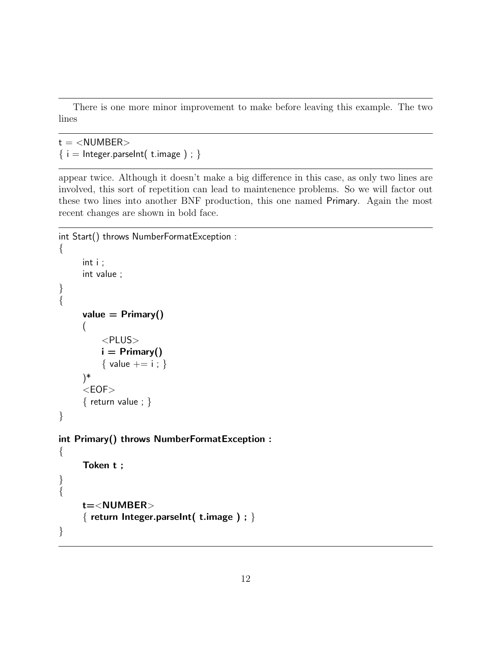There is one more minor improvement to make before leaving this example. The two lines

```
t = <NUMBER>
\{ i = \text{Integer.parseInt}(\text{ t.image}) : \}
```
appear twice. Although it doesn't make a big difference in this case, as only two lines are involved, this sort of repetition can lead to maintenence problems. So we will factor out these two lines into another BNF production, this one named Primary. Again the most recent changes are shown in bold face.

```
int Start() throws NumberFormatException :
{
     int i ;
     int value ;
}
{
     value = Primary()
     (
          <PLUS>
         i = Primary()
          { value += i ; }
     )*
     <EOF>
     { return value ; }
}
int Primary() throws NumberFormatException :
\{Token t ;
}
{
     t=<NUMBER>
     { return Integer.parseInt( t.image ) ; }
}
```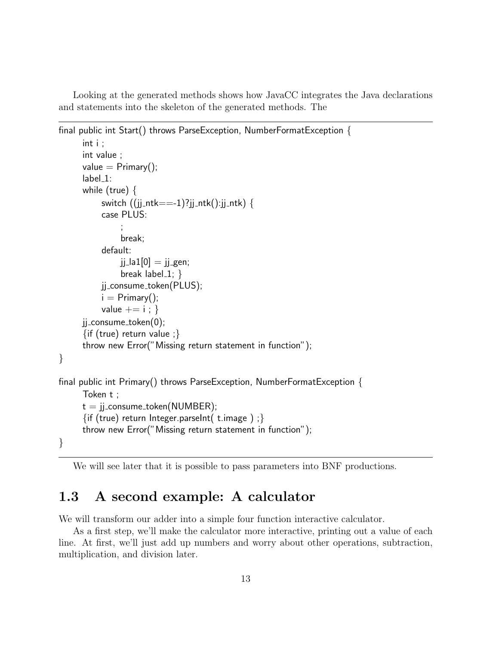Looking at the generated methods shows how JavaCC integrates the Java declarations and statements into the skeleton of the generated methods. The

```
final public int Start() throws ParseException, NumberFormatException {
      int i ;
      int value ;
      value = Primary();
      label_1:
      while (true) \{switch ((jj_{-}ntk==-1)?jj_{-}ntk():jj_ntk) {
           case PLUS:
                ;
                break;
           default:
                ji la1[0] = jj gen;
                break label-1; \}jj consume token(PLUS);
           i = Primary();
           value += i ; }
      ji_{\text{consume}\text{-}token(0);}\{if (true) return value ; \}throw new Error("Missing return statement in function");
}
final public int Primary() throws ParseException, NumberFormatException {
      Token t ;
      t = jj_consume_token(NUMBER);
      \{if (true) return Integer.parseInt( t.image ) ;\}throw new Error("Missing return statement in function");
}
```
We will see later that it is possible to pass parameters into BNF productions.

# **1.3 A second example: A calculator**

We will transform our adder into a simple four function interactive calculator.

As a first step, we'll make the calculator more interactive, printing out a value of each line. At first, we'll just add up numbers and worry about other operations, subtraction, multiplication, and division later.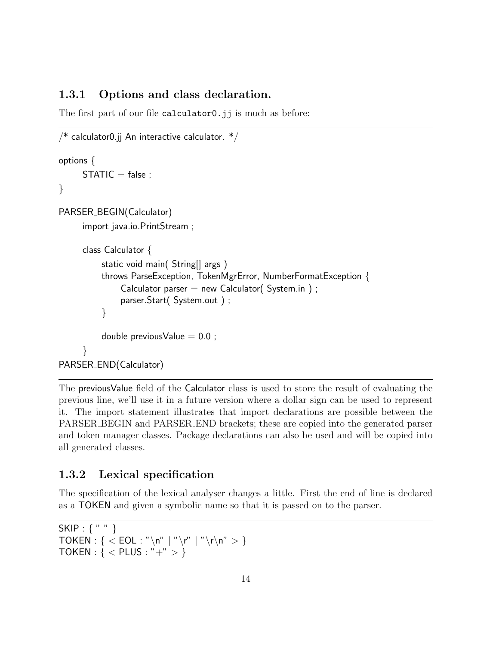### **1.3.1 Options and class declaration.**

The first part of our file calculator0.jj is much as before:

```
/* calculator0.jj An interactive calculator. */options {
     STATIC = false;}
PARSER_BEGIN(Calculator)
     import java.io.PrintStream ;
     class Calculator {
          static void main( String[] args )
          throws ParseException, TokenMgrError, NumberFormatException {
               Calculator parser = new Calculator( System.in );
               parser.Start( System.out ) ;
          }
          double previous Value = 0.0;
      }
PARSER END(Calculator)
```
The previousValue field of the Calculator class is used to store the result of evaluating the previous line, we'll use it in a future version where a dollar sign can be used to represent it. The import statement illustrates that import declarations are possible between the PARSER BEGIN and PARSER END brackets; these are copied into the generated parser and token manager classes. Package declarations can also be used and will be copied into all generated classes.

# **1.3.2 Lexical specification**

The specification of the lexical analyser changes a little. First the end of line is declared as a TOKEN and given a symbolic name so that it is passed on to the parser.

```
SKIP : { " " }
TOKEN : { < EOL : "\n" | "\r" | "\r\n" > }
TOKEN : { < PLUS : "+" > }
```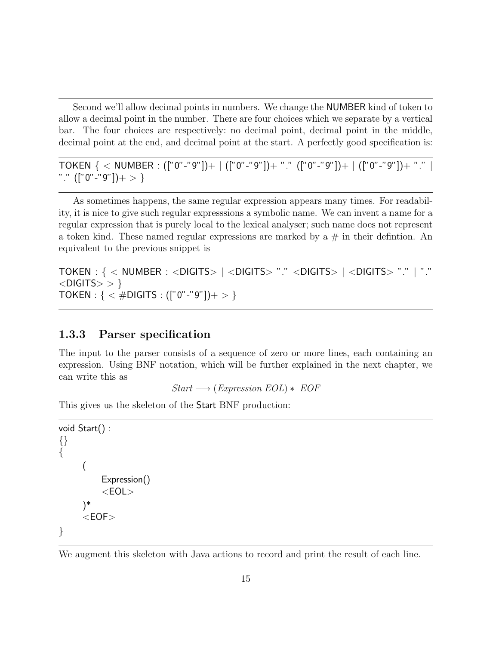Second we'll allow decimal points in numbers. We change the NUMBER kind of token to allow a decimal point in the number. There are four choices which we separate by a vertical bar. The four choices are respectively: no decimal point, decimal point in the middle, decimal point at the end, and decimal point at the start. A perfectly good specification is:

TOKEN { *<* NUMBER : (["0"-"9"])+ | (["0"-"9"])+ "." (["0"-"9"])+ | (["0"-"9"])+ "." | "." (["0"-"9"])+ *>* }

As sometimes happens, the same regular expression appears many times. For readability, it is nice to give such regular expresssions a symbolic name. We can invent a name for a regular expression that is purely local to the lexical analyser; such name does not represent a token kind. These named regular expressions are marked by a  $\#$  in their defintion. An equivalent to the previous snippet is

```
TOKEN : { < NUMBER : <DIGITS> | <DIGITS> "." <DIGITS> | <DIGITS> "." | "."
<DIGITS> > }
TOKEN : { < #DIGITS : (["0"-"9"])+ > }
```
# **1.3.3 Parser specification**

The input to the parser consists of a sequence of zero or more lines, each containing an expression. Using BNF notation, which will be further explained in the next chapter, we can write this as

*Start* −→ (*Expression EOL*) ∗ *EOF*

This gives us the skeleton of the Start BNF production:

```
void Start() :
{}
{
     (
          Expression()
          <EOL>
     )*
      <EOF>
}
```
We augment this skeleton with Java actions to record and print the result of each line.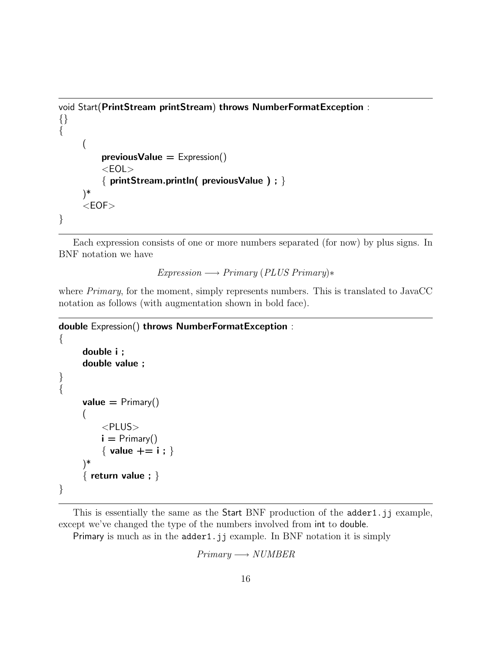```
void Start(PrintStream printStream) throws NumberFormatException :
{}
\{(
         previousValue = Expression()
         <EOL>
         { printStream.println( previousValue ) ; }
     )*
     <EOF>
}
```
Each expression consists of one or more numbers separated (for now) by plus signs. In BNF notation we have

*Expression* −→ *Primary* (*PLUS Primary*)∗

where *Primary*, for the moment, simply represents numbers. This is translated to JavaCC notation as follows (with augmentation shown in bold face).

```
double Expression() throws NumberFormatException :
\{double i ;
      double value ;
}
{
     value = Primary()
      (
           <PLUS>
          \mathbf{i} = \text{Primary}(){ value += i ; }
      )*
      { return value ; }
}
```
This is essentially the same as the Start BNF production of the adder1.jj example, except we've changed the type of the numbers involved from int to double.

Primary is much as in the adder1.jj example. In BNF notation it is simply

*Primary* −→ *NUMBER*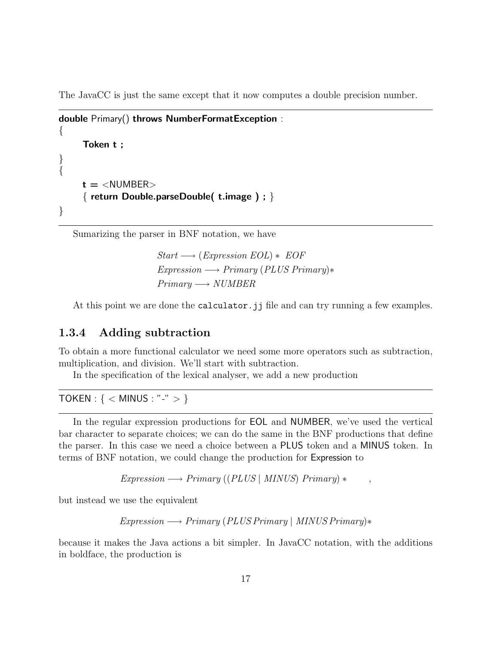The JavaCC is just the same except that it now computes a double precision number.

```
double Primary() throws NumberFormatException :
{
     Token t ;
}
{
     t = <NUMBER>
     { return Double.parseDouble( t.image ) ; }
}
```
Sumarizing the parser in BNF notation, we have

*Start* −→ (*Expression EOL*) ∗ *EOF Expression* −→ *Primary* (*PLUS Primary*)∗ *Primary* −→ *NUMBER*

At this point we are done the calculator.jj file and can try running a few examples.

### **1.3.4 Adding subtraction**

To obtain a more functional calculator we need some more operators such as subtraction, multiplication, and division. We'll start with subtraction.

In the specification of the lexical analyser, we add a new production

TOKEN : { *<* MINUS : "-" *>* }

In the regular expression productions for EOL and NUMBER, we've used the vertical bar character to separate choices; we can do the same in the BNF productions that define the parser. In this case we need a choice between a PLUS token and a MINUS token. In terms of BNF notation, we could change the production for Expression to

 $Expression \longrightarrow Primary ((PLUS | MINUS) Primary$ 

but instead we use the equivalent

*Expression* −→ *Primary* (*PLUS Primary* | *MINUS Primary*)∗

because it makes the Java actions a bit simpler. In JavaCC notation, with the additions in boldface, the production is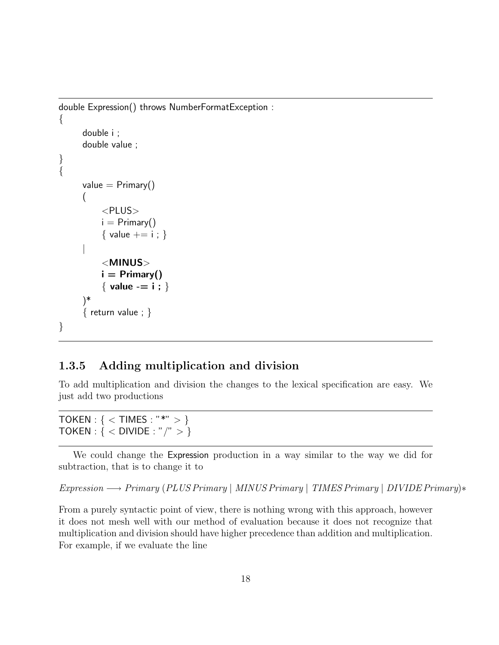```
double Expression() throws NumberFormatException :
\{double i ;
     double value ;
}
{
     value = Primary()
     (
          <PLUS>
          i = Primary()
          { value += i ; }
      |
          <MINUS>
          i = Primary()
          { value -= i ; }
     )*
     { return value ; }
}
```
# **1.3.5 Adding multiplication and division**

To add multiplication and division the changes to the lexical specification are easy. We just add two productions

TOKEN : { *<* TIMES : "\*" *>* } TOKEN : { *<* DIVIDE : "/" *>* }

We could change the Expression production in a way similar to the way we did for subtraction, that is to change it to

*Expression* −→ *Primary* (*PLUS Primary* | *MINUS Primary* | *TIMES Primary* | *DIVIDE Primary*)∗

From a purely syntactic point of view, there is nothing wrong with this approach, however it does not mesh well with our method of evaluation because it does not recognize that multiplication and division should have higher precedence than addition and multiplication. For example, if we evaluate the line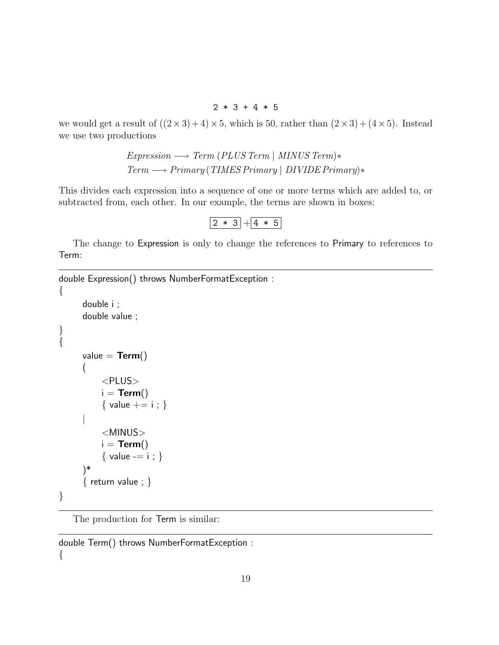$2 * 3 + 4 * 5$ 

we would get a result of  $((2 \times 3) + 4) \times 5$ , which is 50, rather than  $(2 \times 3) + (4 \times 5)$ . Instead we use two productions

```
Expression −→ Term (PLUS Term | MINUS Term)∗
Term −→ Primary (TIMES Primary | DIVIDE Primary)∗
```
This divides each expression into a sequence of one or more terms which are added to, or subtracted from, each other. In our example, the terms are shown in boxes:

 $\boxed{2 * 3 + 4 * 5}$ 

The change to Expression is only to change the references to Primary to references to Term:

double Expression() throws NumberFormatException :

```
{
      double i ;
      double value ;
}
\overline{\left\{ \right. }value = Term()(
            <PLUS>
            i = Term(){ value += i ; }
      |
            <MINUS>
            i = Term()
            { value -= i ; }
      )*
      { return value ; }
}
```
The production for Term is similar:

double Term() throws NumberFormatException :  $\{$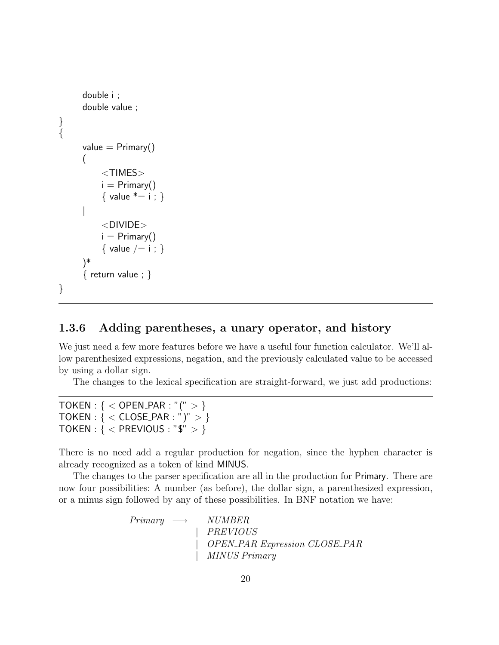```
double i ;
      double value ;
}
{
      value = Primary()
      (
           <TIMES>
          i = Primary()
           { value * = i ; }|
           <DIVIDE>
          i = Primary()
           { value / = i ; }
      )*
      \{ return value; \}}
```
# **1.3.6 Adding parentheses, a unary operator, and history**

We just need a few more features before we have a useful four function calculator. We'll allow parenthesized expressions, negation, and the previously calculated value to be accessed by using a dollar sign.

The changes to the lexical specification are straight-forward, we just add productions:

| TOKEN : { < OPEN_PAR : "(" > }                       |
|------------------------------------------------------|
| $\mathsf{TOKEN}: \{ < \mathsf{CLOSE\_PAR}: ")" > \}$ |
| TOKEN : { < PREVIOUS : "\$" > }                      |

There is no need add a regular production for negation, since the hyphen character is already recognized as a token of kind MINUS.

The changes to the parser specification are all in the production for Primary. There are now four possibilities: A number (as before), the dollar sign, a parenthesized expression, or a minus sign followed by any of these possibilities. In BNF notation we have:

> *Primary* −→ *NUMBER* | *PREVIOUS* | *OPEN PAR Expression CLOSE PAR* | *MINUS Primary*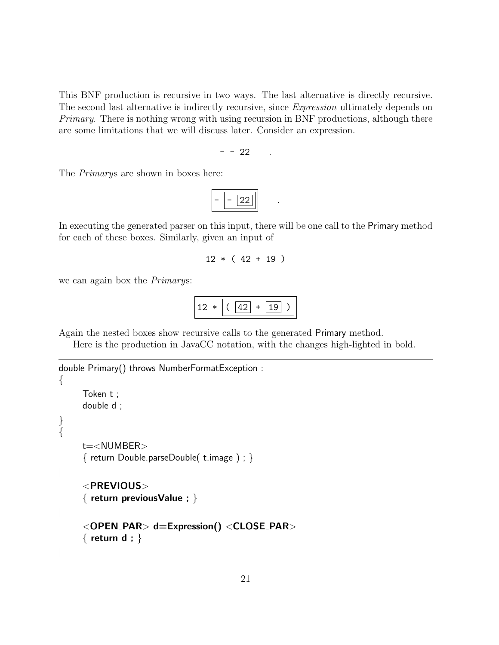This BNF production is recursive in two ways. The last alternative is directly recursive. The second last alternative is indirectly recursive, since *Expression* ultimately depends on *Primary*. There is nothing wrong with using recursion in BNF productions, although there are some limitations that we will discuss later. Consider an expression.

$$
- - 22 \qquad .
$$

The *Primary*s are shown in boxes here:

$$
-\boxed{-\boxed{22}}
$$

In executing the generated parser on this input, there will be one call to the Primary method for each of these boxes. Similarly, given an input of

```
12 * (42 + 19)
```
we can again box the *Primary*s:

```
12 * | (42 + 19)
```
Again the nested boxes show recursive calls to the generated Primary method.

Here is the production in JavaCC notation, with the changes high-lighted in bold.

```
double Primary() throws NumberFormatException :
{
     Token t ;
     double d ;
}
{
     t=<NUMBER>
     { return Double.parseDouble( t.image ) ; }
|
     <PREVIOUS>
     { return previousValue ; }
|
     <OPEN PAR> d=Expression() <CLOSE PAR>
     { return d ; }
|
```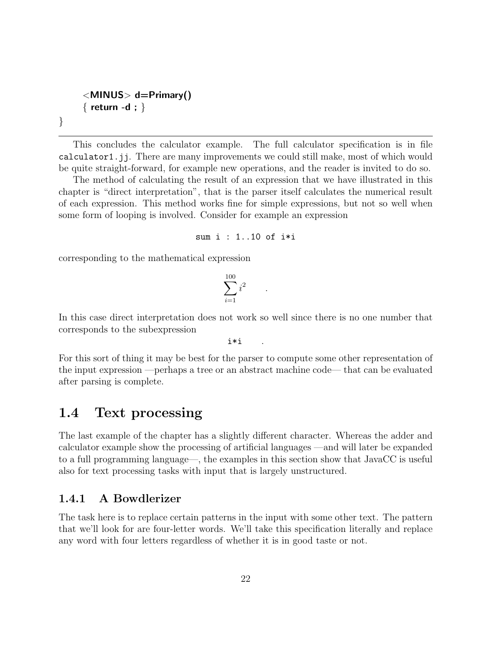```
<MINUS> d=Primary()
{ return -d ; }
```
}

This concludes the calculator example. The full calculator specification is in file calculator1.jj. There are many improvements we could still make, most of which would be quite straight-forward, for example new operations, and the reader is invited to do so.

The method of calculating the result of an expression that we have illustrated in this chapter is "direct interpretation", that is the parser itself calculates the numerical result of each expression. This method works fine for simple expressions, but not so well when some form of looping is involved. Consider for example an expression

```
sum i : 1..10 of i*i
```
corresponding to the mathematical expression

$$
\sum_{i=1}^{100} i^2 \qquad .
$$

In this case direct interpretation does not workso well since there is no one number that corresponds to the subexpression

i\*i

For this sort of thing it may be best for the parser to compute some other representation of the input expression —perhaps a tree or an abstract machine code— that can be evaluated after parsing is complete.

# **1.4 Text processing**

The last example of the chapter has a slightly different character. Whereas the adder and calculator example show the processing of artificial languages —and will later be expanded to a full programming language—, the examples in this section show that JavaCC is useful also for text processing tasks with input that is largely unstructured.

### **1.4.1 A Bowdlerizer**

The task here is to replace certain patterns in the input with some other text. The pattern that we'll look for are four-letter words. We'll take this specification literally and replace any word with four letters regardless of whether it is in good taste or not.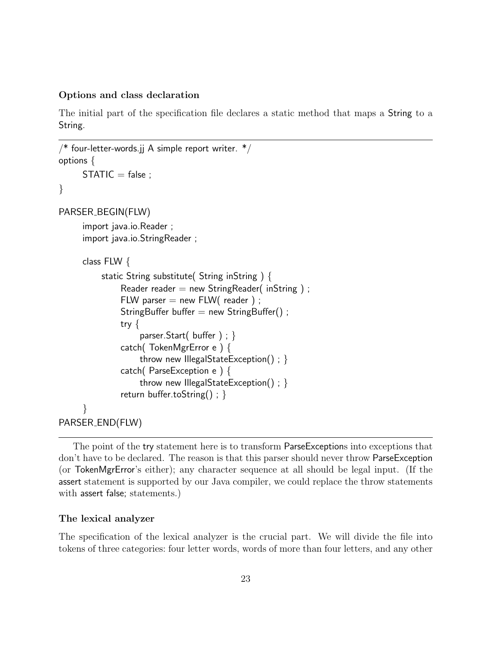#### **Options and class declaration**

The initial part of the specification file declares a static method that maps a String to a String.

```
/* four-letter-words.jj A simple report writer. */options {
     STATIC = false;}
PARSER BEGIN(FLW)
     import java.io.Reader ;
     import java.io.StringReader ;
     class FLW {
          static String substitute( String inString ) {
               Reader reader = new StringReader( inString);
               FLW parser = new FLW( reader );
               StringBuffer buffer = new StringBuffer();
               try {
                    parser.Start( buffer ) ; }
               catch( TokenMgrError e ) {
                    throw new IllegalStateException() ; }
               catch( ParseException e ) {
                    throw new IllegalStateException() ; }
               return buffer.toString() ; }
      }
PARSER END(FLW)
```
The point of the try statement here is to transform ParseExceptions into exceptions that don't have to be declared. The reason is that this parser should never throw ParseException (or TokenMgrError's either); any character sequence at all should be legal input. (If the assert statement is supported by our Java compiler, we could replace the throw statements with assert false; statements.)

#### **The lexical analyzer**

The specification of the lexical analyzer is the crucial part. We will divide the file into tokens of three categories: four letter words, words of more than four letters, and any other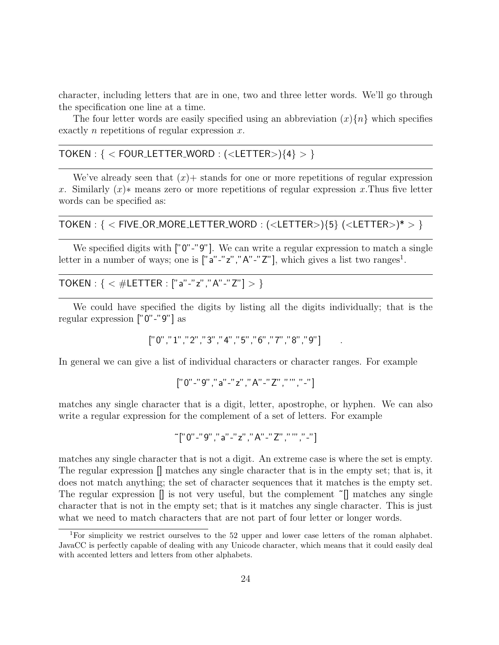character, including letters that are in one, two and three letter words. We'll go through the specification one line at a time.

The four letter words are easily specified using an abbreviation  $(x)$   $\{n\}$  which specifies exactly *n* repetitions of regular expression *x*.

# TOKEN : { *<* FOUR LETTER WORD : (*<*LETTER*>*){4} *>* }

We've already seen that  $(x)$  stands for one or more repetitions of regular expression *x*. Similarly (*x*)∗ means zero or more repetitions of regular expression *x.*Thus five letter words can be specified as:

# TOKEN : { *<* FIVE OR MORE LETTER WORD : (*<*LETTER*>*){5} (*<*LETTER*>*)\* *>* }

We specified digits with ["0"-"9"]. We can write a regular expression to match a single letter in a number of ways; one is  $["a"-"z", "A"-"Z"]$ , which gives a list two ranges<sup>1</sup>.

TOKEN : { *<* #LETTER : ["a"-"z","A"-"Z"] *>* }

We could have specified the digits by listing all the digits individually; that is the regular expression ["0"-"9"] as

["0","1","2","3","4","5","6","7","8","9"] .

In general we can give a list of individual characters or character ranges. For example

$$
['0'' - ''9'', 'a'' - ''z'', 'A'' - ''Z'', '''''', ' - '']
$$

matches any single character that is a digit, letter, apostrophe, or hyphen. We can also write a regular expression for the complement of a set of letters. For example

$$
\tilde{~} [ "0" - "9" , "a" - "z" , "A" - "Z" , """ ", "-" ]
$$

matches any single character that is not a digit. An extreme case is where the set is empty. The regular expression [] matches any single character that is in the empty set; that is, it does not match anything; the set of character sequences that it matches is the empty set. The regular expression  $\parallel$  is not very useful, but the complement  $\tilde{\parallel}$  matches any single character that is not in the empty set; that is it matches any single character. This is just what we need to match characters that are not part of four letter or longer words.

<sup>1</sup>For simplicity we restrict ourselves to the 52 upper and lower case letters of the roman alphabet. JavaCC is perfectly capable of dealing with any Unicode character, which means that it could easily deal with accented letters and letters from other alphabets.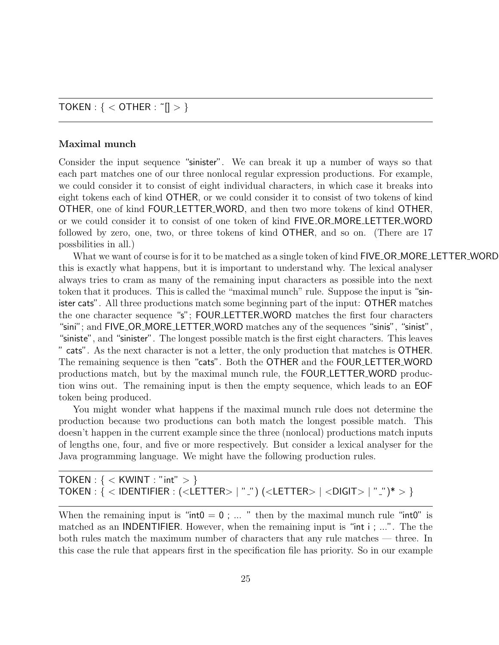### TOKEN : { *<* OTHER : ˜[] *>* }

#### **Maximal munch**

Consider the input sequence "sinister". We can break it up a number of ways so that each part matches one of our three nonlocal regular expression productions. For example, we could consider it to consist of eight individual characters, in which case it breaks into eight tokens each of kind OTHER, or we could consider it to consist of two tokens of kind OTHER, one of kind FOUR LETTER WORD, and then two more tokens of kind OTHER, or we could consider it to consist of one token of kind FIVE OR MORE LETTER WORD followed by zero, one, two, or three tokens of kind OTHER, and so on. (There are 17 possbilities in all.)

What we want of course is for it to be matched as a single token of kind  $\textsf{FIVE}$  OR\_MORE\_LETTER\_WORD this is exactly what happens, but it is important to understand why. The lexical analyser always tries to cram as many of the remaining input characters as possible into the next token that it produces. This is called the "maximal munch" rule. Suppose the input is "sinister cats". All three productions match some beginning part of the input: OTHER matches the one character sequence "s"; FOUR LETTER WORD matches the first four characters "sini"; and FIVE OR MORE LETTER WORD matches any of the sequences "sinis", "sinist", "siniste", and "sinister". The longest possible match is the first eight characters. This leaves " cats". As the next character is not a letter, the only production that matches is OTHER. The remaining sequence is then "cats". Both the OTHER and the FOUR LETTER WORD productions match, but by the maximal munch rule, the FOUR LETTER WORD production wins out. The remaining input is then the empty sequence, which leads to an EOF token being produced.

You might wonder what happens if the maximal munch rule does not determine the production because two productions can both match the longest possible match. This doesn't happen in the current example since the three (nonlocal) productions match inputs of lengths one, four, and five or more respectively. But consider a lexical analyser for the Java programming language. We might have the following production rules.

TOKEN : { *<* KWINT : "int" *>* } TOKEN : { *<* IDENTIFIER : (*<*LETTER*>* | " ") (*<*LETTER*>* | *<*DIGIT*>* | " ")\* *>* }

When the remaining input is " $int0 = 0$ ; ... " then by the maximal munch rule " $int0$ " is matched as an INDENTIFIER. However, when the remaining input is "int i ; ...". The the both rules match the maximum number of characters that any rule matches — three. In this case the rule that appears first in the specification file has priority. So in our example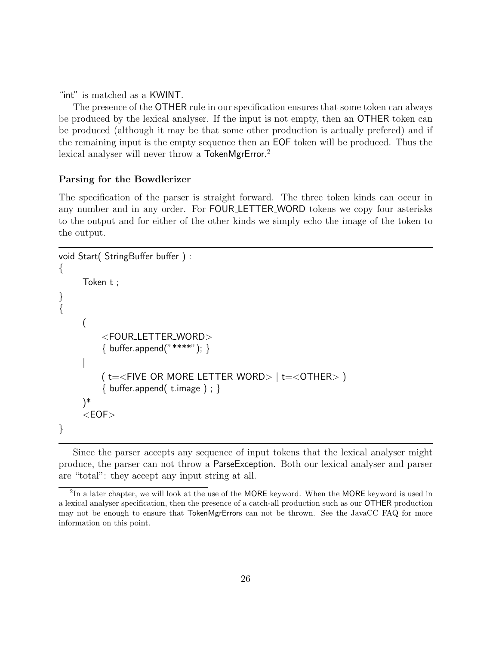"int" is matched as a KWINT.

The presence of the OTHER rule in our specification ensures that some token can always be produced by the lexical analyser. If the input is not empty, then an OTHER token can be produced (although it may be that some other production is actually prefered) and if the remaining input is the empty sequence then an EOF token will be produced. Thus the lexical analyser will never throw a TokenMgrError.<sup>2</sup>

### **Parsing for the Bowdlerizer**

The specification of the parser is straight forward. The three token kinds can occur in any number and in any order. For FOUR LETTER WORD tokens we copy four asterisks to the output and for either of the other kinds we simply echo the image of the token to the output.

```
void Start( StringBuffer buffer ) :
\{Token t ;
}
{
     (
         <FOUR LETTER WORD>
         \{ buffer.append("****"); \}|
         ( t=<FIVE OR MORE LETTER WORD> | t=<OTHER> )
         \{ buffer.append( t.image ) ; \})*
     <EOF>
}
```
Since the parser accepts any sequence of input tokens that the lexical analyser might produce, the parser can not throw a ParseException. Both our lexical analyser and parser are "total": they accept any input string at all.

<sup>&</sup>lt;sup>2</sup>In a later chapter, we will look at the use of the MORE keyword. When the MORE keyword is used in a lexical analyser specification, then the presence of a catch-all production such as our OTHER production may not be enough to ensure that TokenMgrErrors can not be thrown. See the JavaCC FAQ for more information on this point.